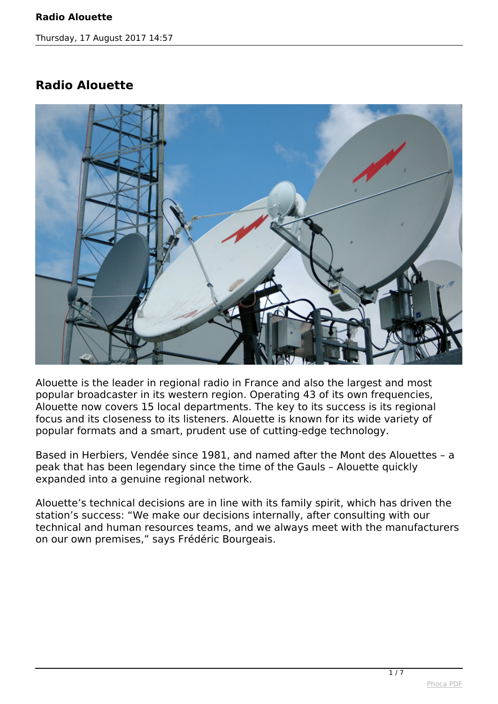*Thursday, 17 August 2017 14:57*

## **Radio Alouette**



*Alouette is the leader in regional radio in France and also the largest and most popular broadcaster in its western region. Operating 43 of its own frequencies, Alouette now covers 15 local departments. The key to its success is its regional focus and its closeness to its listeners. Alouette is known for its wide variety of popular formats and a smart, prudent use of cutting-edge technology.*

*Based in Herbiers, Vendée since 1981, and named after the Mont des Alouettes – a peak that has been legendary since the time of the Gauls – Alouette quickly expanded into a genuine regional network.*

*Alouette's technical decisions are in line with its family spirit, which has driven the station's success: "We make our decisions internally, after consulting with our technical and human resources teams, and we always meet with the manufacturers on our own premises," says Frédéric Bourgeais.*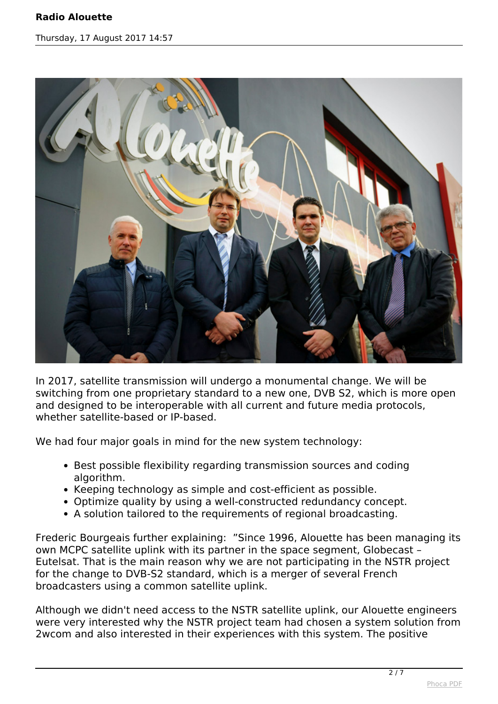## **Radio Alouette**

*Thursday, 17 August 2017 14:57*



*In 2017, satellite transmission will undergo a monumental change. We will be switching from one proprietary standard to a new one, DVB S2, which is more open and designed to be interoperable with all current and future media protocols, whether satellite-based or IP-based.*

*We had four major goals in mind for the new system technology:*

- *Best possible flexibility regarding transmission sources and coding algorithm.*
- *Keeping technology as simple and cost-efficient as possible.*
- *Optimize quality by using a well-constructed redundancy concept.*
- *A solution tailored to the requirements of regional broadcasting.*

*Frederic Bourgeais further explaining: "Since 1996, Alouette has been managing its own MCPC satellite uplink with its partner in the space segment, Globecast – Eutelsat. That is the main reason why we are not participating in the NSTR project for the change to DVB-S2 standard, which is a merger of several French broadcasters using a common satellite uplink.*

*Although we didn't need access to the NSTR satellite uplink, our Alouette engineers were very interested why the NSTR project team had chosen a system solution from 2wcom and also interested in their experiences with this system. The positive*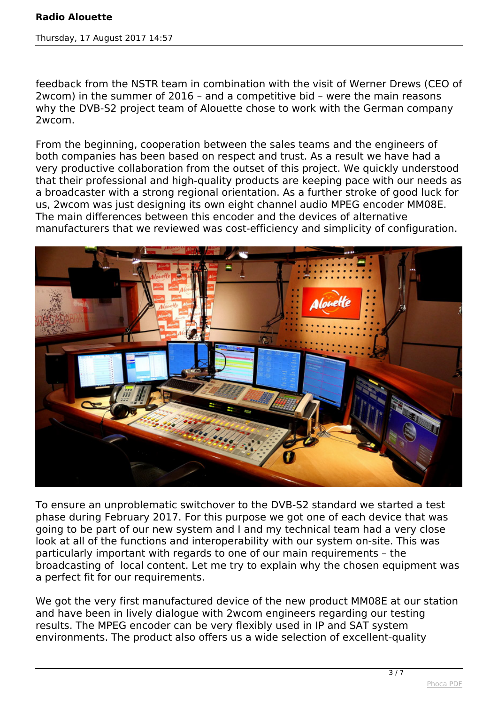## **Radio Alouette**

*Thursday, 17 August 2017 14:57*

*feedback from the NSTR team in combination with the visit of Werner Drews (CEO of 2wcom) in the summer of 2016 – and a competitive bid – were the main reasons why the DVB-S2 project team of Alouette chose to work with the German company 2wcom.*

*From the beginning, cooperation between the sales teams and the engineers of both companies has been based on respect and trust. As a result we have had a very productive collaboration from the outset of this project. We quickly understood that their professional and high-quality products are keeping pace with our needs as a broadcaster with a strong regional orientation. As a further stroke of good luck for us, 2wcom was just designing its own eight channel audio MPEG encoder MM08E. The main differences between this encoder and the devices of alternative manufacturers that we reviewed was cost-efficiency and simplicity of configuration.*



*To ensure an unproblematic switchover to the DVB-S2 standard we started a test phase during February 2017. For this purpose we got one of each device that was going to be part of our new system and I and my technical team had a very close look at all of the functions and interoperability with our system on-site. This was particularly important with regards to one of our main requirements – the broadcasting of local content. Let me try to explain why the chosen equipment was a perfect fit for our requirements.*

*We got the very first manufactured device of the new product MM08E at our station and have been in lively dialogue with 2wcom engineers regarding our testing results. The MPEG encoder can be very flexibly used in IP and SAT system environments. The product also offers us a wide selection of excellent-quality*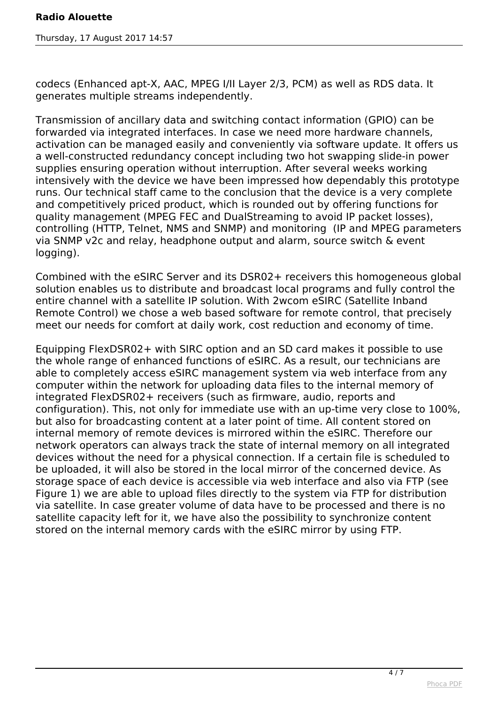*codecs (Enhanced apt-X, AAC, MPEG I/II Layer 2/3, PCM) as well as RDS data. It generates multiple streams independently.*

*Transmission of ancillary data and switching contact information (GPIO) can be forwarded via integrated interfaces. In case we need more hardware channels, activation can be managed easily and conveniently via software update. It offers us a well-constructed redundancy concept including two hot swapping slide-in power supplies ensuring operation without interruption. After several weeks working intensively with the device we have been impressed how dependably this prototype runs. Our technical staff came to the conclusion that the device is a very complete and competitively priced product, which is rounded out by offering functions for quality management (MPEG FEC and DualStreaming to avoid IP packet losses), controlling (HTTP, Telnet, NMS and SNMP) and monitoring (IP and MPEG parameters via SNMP v2c and relay, headphone output and alarm, source switch & event logging).*

*Combined with the eSIRC Server and its DSR02+ receivers this homogeneous global solution enables us to distribute and broadcast local programs and fully control the entire channel with a satellite IP solution. With 2wcom eSIRC (Satellite Inband Remote Control) we chose a web based software for remote control, that precisely meet our needs for comfort at daily work, cost reduction and economy of time.*

*Equipping FlexDSR02+ with SIRC option and an SD card makes it possible to use the whole range of enhanced functions of eSIRC. As a result, our technicians are able to completely access eSIRC management system via web interface from any computer within the network for uploading data files to the internal memory of integrated FlexDSR02+ receivers (such as firmware, audio, reports and configuration). This, not only for immediate use with an up-time very close to 100%, but also for broadcasting content at a later point of time. All content stored on internal memory of remote devices is mirrored within the eSIRC. Therefore our network operators can always track the state of internal memory on all integrated devices without the need for a physical connection. If a certain file is scheduled to be uploaded, it will also be stored in the local mirror of the concerned device. As storage space of each device is accessible via web interface and also via FTP (see Figure 1) we are able to upload files directly to the system via FTP for distribution via satellite. In case greater volume of data have to be processed and there is no satellite capacity left for it, we have also the possibility to synchronize content stored on the internal memory cards with the eSIRC mirror by using FTP.*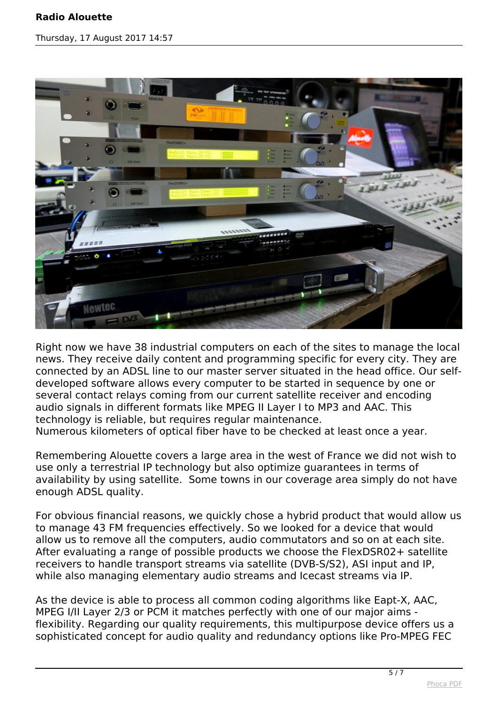## **Radio Alouette**

*Thursday, 17 August 2017 14:57*



*Right now we have 38 industrial computers on each of the sites to manage the local news. They receive daily content and programming specific for every city. They are connected by an ADSL line to our master server situated in the head office. Our selfdeveloped software allows every computer to be started in sequence by one or several contact relays coming from our current satellite receiver and encoding audio signals in different formats like MPEG II Layer I to MP3 and AAC. This technology is reliable, but requires regular maintenance.*

*Numerous kilometers of optical fiber have to be checked at least once a year.*

*Remembering Alouette covers a large area in the west of France we did not wish to use only a terrestrial IP technology but also optimize guarantees in terms of availability by using satellite. Some towns in our coverage area simply do not have enough ADSL quality.*

*For obvious financial reasons, we quickly chose a hybrid product that would allow us to manage 43 FM frequencies effectively. So we looked for a device that would allow us to remove all the computers, audio commutators and so on at each site. After evaluating a range of possible products we choose the FlexDSR02+ satellite receivers to handle transport streams via satellite (DVB-S/S2), ASI input and IP, while also managing elementary audio streams and Icecast streams via IP.*

*As the device is able to process all common coding algorithms like Eapt-X, AAC, MPEG I/II Layer 2/3 or PCM it matches perfectly with one of our major aims flexibility. Regarding our quality requirements, this multipurpose device offers us a sophisticated concept for audio quality and redundancy options like Pro-MPEG FEC*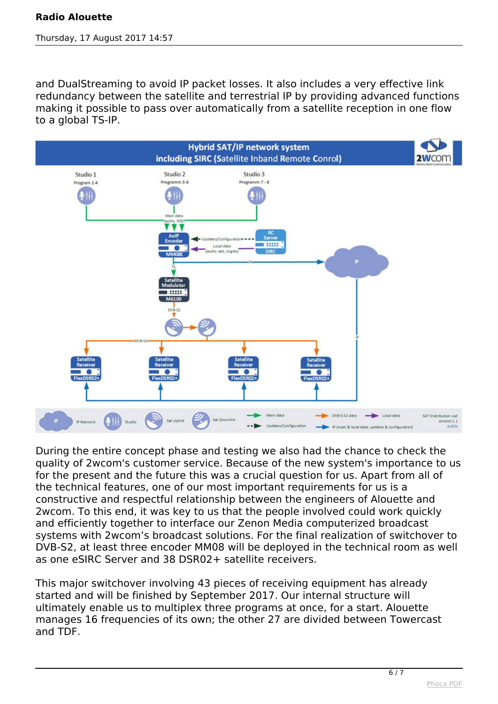*and DualStreaming to avoid IP packet losses. It also includes a very effective link redundancy between the satellite and terrestrial IP by providing advanced functions making it possible to pass over automatically from a satellite reception in one flow to a global TS-IP.* 



*During the entire concept phase and testing we also had the chance to check the quality of 2wcom's customer service. Because of the new system's importance to us for the present and the future this was a crucial question for us. Apart from all of the technical features, one of our most important requirements for us is a constructive and respectful relationship between the engineers of Alouette and 2wcom. To this end, it was key to us that the people involved could work quickly and efficiently together to interface our Zenon Media computerized broadcast systems with 2wcom's broadcast solutions. For the final realization of switchover to DVB-S2, at least three encoder MM08 will be deployed in the technical room as well as one eSIRC Server and 38 DSR02+ satellite receivers.*

*This major switchover involving 43 pieces of receiving equipment has already started and will be finished by September 2017. Our internal structure will ultimately enable us to multiplex three programs at once, for a start. Alouette manages 16 frequencies of its own; the other 27 are divided between Towercast and TDF.*